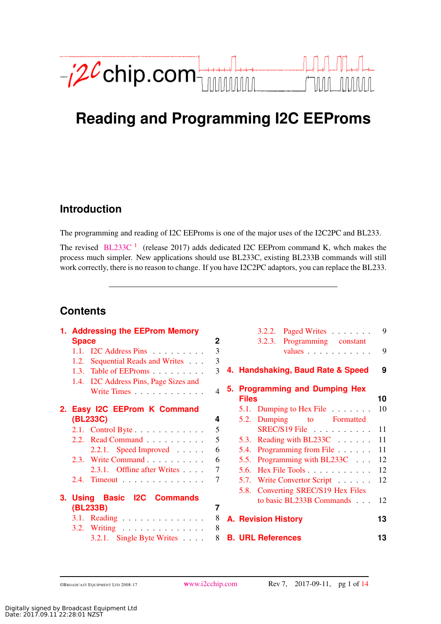<span id="page-0-1"></span>

# **Reading and Programming I2C EEProms**

## **Introductio[n](#page-0-0)**

The programming and reading of I2C EEProms is one of the major uses of the I2C2PC and BL233.

The revised  $BL233C<sup>1</sup>$  $BL233C<sup>1</sup>$  $BL233C<sup>1</sup>$  $BL233C<sup>1</sup>$  (release 2017) adds dedicated I2C EEProm command K, whch makes the process much simpler. New applications should use BL233C, existing BL233B commands will still work correctly, there is no reason to change. If you have I2C2PC adaptors, you can replace the BL233.

## <span id="page-0-0"></span>**Content[s](#page-0-0)**

| 1. Addressing the EEProm Memory       |                | Paged Writes<br>3.2.2.             | 9  |
|---------------------------------------|----------------|------------------------------------|----|
| <b>Space</b>                          | $\mathbf{2}$   | Programming constant<br>3.2.3.     |    |
| 1.1. I2C Address Pins $\ldots$        | 3              | values                             | 9  |
| Sequential Reads and Writes<br>1.2.   | 3              |                                    |    |
| Table of EEProms<br>1.3.              | 3              | 4. Handshaking, Baud Rate & Speed  | 9  |
| 1.4. I2C Address Pins, Page Sizes and |                |                                    |    |
| Write Times                           | $\overline{4}$ | 5. Programming and Dumping Hex     |    |
|                                       |                | <b>Files</b>                       | 10 |
| 2. Easy I2C EEProm K Command          |                | 5.1. Dumping to Hex File $\ldots$  | 10 |
| (BL233C)                              | 4              | 5.2. Dumping to Formatted          |    |
| 2.1. Control Byte                     | 5              | SREC/S19 File                      | 11 |
| 2.2. Read Command                     | 5              | 5.3. Reading with BL233C           | 11 |
| $2.2.1.$ Speed Improved               | 6              | 5.4. Programming from File         | 11 |
| 2.3. Write Command                    | 6              | 5.5. Programming with BL233C       | 12 |
| 2.3.1. Offline after Writes           | 7              | 5.6. Hex File Tools $\ldots$       | 12 |
| 2.4. Timeout                          | 7              | 5.7. Write Convertor Script        | 12 |
|                                       |                | 5.8. Converting SREC/S19 Hex Files |    |
| 3. Using Basic I2C Commands           |                | to basic BL233B Commands           | 12 |
| (BL233B)                              | 7              |                                    |    |
| $3.1.$ Reading                        | 8              | <b>A. Revision History</b>         | 13 |
| 3.2. Writing                          | 8              |                                    |    |
| 3.2.1. Single Byte Writes $\ldots$ .  | 8              | <b>B. URL References</b>           | 13 |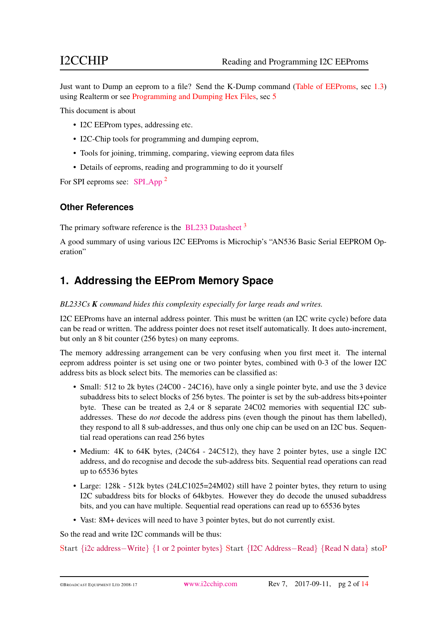Just want to Dump an eeprom to a file? Send the K-Dump command [\(Table of EEProms,](#page-2-2) sec [1.3\)](#page-2-2) using Realterm or see [Programming and Dumping Hex Files,](#page-9-0) sec [5](#page-9-0)

This document is about

- I2C EEProm types, addressing etc.
- I2C-Chip tools for programming and dumping eeprom,
- Tools for joining, trimming, comparing, viewing eeprom data files
- Details of eeproms, reading and programming to do it yourself

For SPI eeproms see: SPI\_[App](https://www.i2cchip.com/pdfs/SPI_App.pdf)<sup>[2](#page-12-3)</sup>

### **Other Reference[s](#page-0-0)**

The primary software reference is the [BL233 Datasheet](https://www.i2cchip.com/pdfs/BL233_Datasheet.pdf) <sup>[3](#page-12-4)</sup>

A good summary of using various I2C EEProms is Microchip's "AN536 Basic Serial EEPROM Operation"

## <span id="page-1-0"></span>**1. Addressing the EEProm Memory Spac[e](#page-0-0)**

*BL233Cs K command hides this complexity especially for large reads and writes.*

I2C EEProms have an internal address pointer. This must be written (an I2C write cycle) before data can be read or written. The address pointer does not reset itself automatically. It does auto-increment, but only an 8 bit counter (256 bytes) on many eeproms.

The memory addressing arrangement can be very confusing when you first meet it. The internal eeprom address pointer is set using one or two pointer bytes, combined with 0-3 of the lower I2C address bits as block select bits. The memories can be classified as:

- Small: 512 to 2k bytes (24C00 24C16), have only a single pointer byte, and use the 3 device subaddress bits to select blocks of 256 bytes. The pointer is set by the sub-address bits+pointer byte. These can be treated as 2,4 or 8 separate 24C02 memories with sequential I2C subaddresses. These do *not* decode the address pins (even though the pinout has them labelled), they respond to all 8 sub-addresses, and thus only one chip can be used on an I2C bus. Sequential read operations can read 256 bytes
- Medium: 4K to 64K bytes, (24C64 24C512), they have 2 pointer bytes, use a single I2C address, and do recognise and decode the sub-address bits. Sequential read operations can read up to 65536 bytes
- Large: 128k 512k bytes (24LC1025=24M02) still have 2 pointer bytes, they return to using I2C subaddress bits for blocks of 64kbytes. However they do decode the unused subaddress bits, and you can have multiple. Sequential read operations can read up to 65536 bytes
- Vast: 8M+ devices will need to have 3 pointer bytes, but do not currently exist.

So the read and write I2C commands will be thus:

Start {i2c address−Write} {1 or 2 pointer bytes} Start {I2C Address−Read} {Read N data} stoP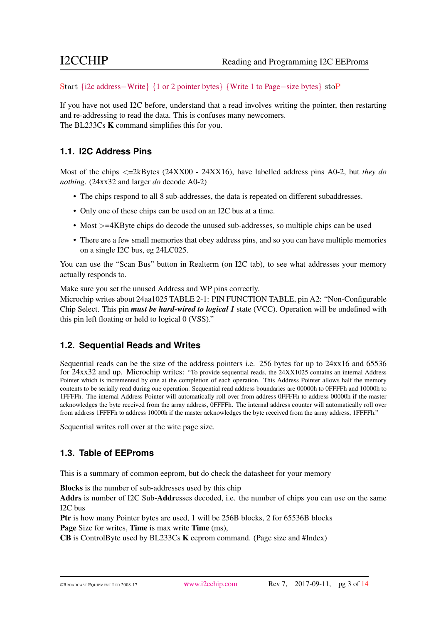Start {i2c address−Write} {1 or 2 pointer bytes} {Write 1 to Page−size bytes} stoP

If you have not used I2C before, understand that a read involves writing the pointer, then restarting and re-addressing to read the data. This is confuses many newcomers. The BL233Cs **K** command simplifies this for you.

### <span id="page-2-0"></span>**1.1. I2C Address Pin[s](#page-0-0)**

Most of the chips <=2kBytes (24XX00 - 24XX16), have labelled address pins A0-2, but *they do nothing*. (24xx32 and larger *do* decode A0-2)

- The chips respond to all 8 sub-addresses, the data is repeated on different subaddresses.
- Only one of these chips can be used on an I2C bus at a time.
- Most  $>=4KB$  yte chips do decode the unused sub-addresses, so multiple chips can be used
- There are a few small memories that obey address pins, and so you can have multiple memories on a single I2C bus, eg 24LC025.

You can use the "Scan Bus" button in Realterm (on I2C tab), to see what addresses your memory actually responds to.

Make sure you set the unused Address and WP pins correctly.

Microchip writes about 24aa1025 TABLE 2-1: PIN FUNCTION TABLE, pin A2: "Non-Configurable Chip Select. This pin *must be hard-wired to logical 1* state (VCC). Operation will be undefined with this pin left floating or held to logical 0 (VSS)."

### <span id="page-2-1"></span>**1.2. Sequential Reads and Write[s](#page-0-0)**

Sequential reads can be the size of the address pointers i.e. 256 bytes for up to 24xx16 and 65536 for 24xx32 and up. Microchip writes: "To provide sequential reads, the 24XX1025 contains an internal Address Pointer which is incremented by one at the completion of each operation. This Address Pointer allows half the memory contents to be serially read during one operation. Sequential read address boundaries are 00000h to 0FFFFh and 10000h to 1FFFFh. The internal Address Pointer will automatically roll over from address 0FFFFh to address 00000h if the master acknowledges the byte received from the array address, 0FFFFh. The internal address counter will automatically roll over from address 1FFFFh to address 10000h if the master acknowledges the byte received from the array address, 1FFFFh."

Sequential writes roll over at the wite page size.

### <span id="page-2-2"></span>**1.3. Table of EEProm[s](#page-0-0)**

This is a summary of common eeprom, but do check the datasheet for your memory

Blocks is the number of sub-addresses used by this chip

Addrs is number of I2C Sub-Addresses decoded, i.e. the number of chips you can use on the same I2C bus

Ptr is how many Pointer bytes are used, 1 will be 256B blocks, 2 for 65536B blocks Page Size for writes, Time is max write Time (ms),

CB is ControlByte used by BL233Cs K eeprom command. (Page size and #Index)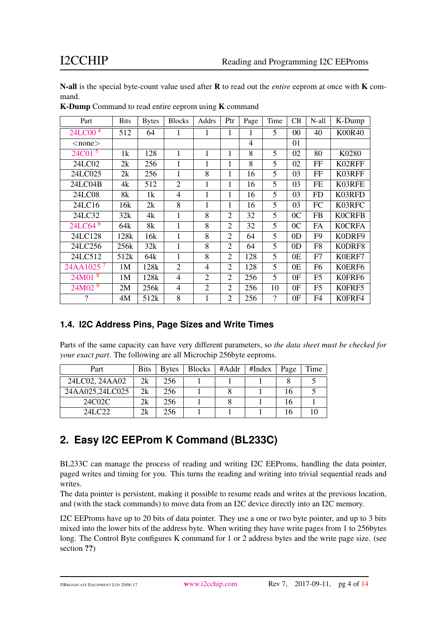N-all is the special byte-count value used after R to read out the *entire* eeprom at once with K command.

| Part                    | <b>Bits</b>     | <b>Bytes</b>    | <b>Blocks</b>  | Addrs          | Ptr            | Page           | Time     | CB             | N-all          | K-Dump        |
|-------------------------|-----------------|-----------------|----------------|----------------|----------------|----------------|----------|----------------|----------------|---------------|
| 24LC00 <sup>4</sup>     | 512             | 64              | $\mathbf{1}$   | 1              | 1              | 1              | 5        | 00             | 40             | <b>K00R40</b> |
| $<$ none $>$            |                 |                 |                |                |                | $\overline{4}$ |          | 01             |                |               |
| 24C01 <sup>5</sup>      | 1k              | 128             | $\mathbf{1}$   | 1              | 1              | 8              | 5        | 02             | 80             | K0280         |
| 24LC02                  | 2k              | 256             | $\mathbf{1}$   | $\mathbf{1}$   | 1              | 8              | 5        | 02             | FF             | K02RFF        |
| 24LC025                 | 2k              | 256             | $\mathbf{1}$   | 8              | 1              | 16             | 5        | 03             | FF             | K03RFF        |
| 24LC04B                 | 4k              | 512             | $\overline{2}$ | 1              | 1              | 16             | 5        | 03             | <b>FE</b>      | K03RFE        |
| 24LC08                  | 8k              | 1k              | $\overline{4}$ | $\mathbf{1}$   | 1              | 16             | 5        | 03             | <b>FD</b>      | K03RFD        |
| 24LC16                  | 16k             | 2k              | 8              | 1              | 1              | 16             | 5        | 03             | FC             | K03RFC        |
| 24LC32                  | 32k             | 4k              | 1              | 8              | $\overline{2}$ | 32             | 5        | 0 <sup>C</sup> | <b>FB</b>      | <b>K0CRFB</b> |
| 24LC64 <sup>6</sup>     | 64 <sub>k</sub> | 8k              | $\mathbf{1}$   | 8              | $\overline{2}$ | 32             | 5        | 0 <sup>C</sup> | FA             | <b>K0CRFA</b> |
| 24LC128                 | 128k            | 16k             | $\mathbf{1}$   | 8              | $\overline{2}$ | 64             | 5        | 0 <sub>D</sub> | F <sub>9</sub> | K0DRF9        |
| 24LC256                 | 256k            | 32k             | $\mathbf{1}$   | 8              | $\overline{2}$ | 64             | 5        | 0 <sub>D</sub> | F <sub>8</sub> | K0DRF8        |
| 24LC512                 | 512k            | 64 <sub>k</sub> | $\mathbf{1}$   | 8              | $\overline{2}$ | 128            | 5        | 0E             | F7             | K0ERF7        |
| $24AA1025$ <sup>7</sup> | 1M              | 128k            | $\overline{2}$ | 4              | $\overline{2}$ | 128            | 5        | 0E             | F <sub>6</sub> | K0ERF6        |
| $24M01$ <sup>8</sup>    | 1M              | 128k            | $\overline{4}$ | $\overline{2}$ | $\overline{2}$ | 256            | 5        | 0F             | F <sub>5</sub> | K0FRF6        |
| $24M02^{9}$             | 2M              | 256k            | $\overline{4}$ | $\overline{2}$ | $\overline{2}$ | 256            | 10       | 0F             | F <sub>5</sub> | K0FRF5        |
| $\gamma$                | 4M              | 512k            | 8              | $\mathbf{1}$   | $\overline{2}$ | 256            | $\gamma$ | 0F             | F4             | K0FRF4        |

K-Dump Command to read entire eeprom using K command

### <span id="page-3-0"></span>**1.4. I2C Address Pins, Page Sizes and Write Time[s](#page-0-0)**

Parts of the same capacity can have very different parameters, so *the data sheet must be checked for your exact part*. The following are all Microchip 256byte eeproms.

| Part            | <b>Bits</b> | <b>Bytes</b> | <b>Blocks</b> | #Addr | #Index | Page | Time |
|-----------------|-------------|--------------|---------------|-------|--------|------|------|
| 24LC02, 24AA02  | 2k          | 256          |               |       |        |      |      |
| 24AA025,24LC025 | 2k          | 256          |               |       |        | 16   |      |
| 24C02C          | 2k          | 256          |               |       |        | 16   |      |
| 24I C22         | 2k          | 256          |               |       |        | 16   |      |

## <span id="page-3-1"></span>**2. Easy I2C EEProm K Command (BL233C[\)](#page-0-0)**

BL233C can manage the process of reading and writing I2C EEProms, handling the data pointer, paged writes and timing for you. This turns the reading and writing into trivial sequential reads and writes.

The data pointer is persistent, making it possible to resume reads and writes at the previous location, and (with the stack commands) to move data from an I2C device directly into an I2C memory.

I2C EEProms have up to 20 bits of data pointer. They use a one or two byte pointer, and up to 3 bits mixed into the lower bits of the address byte. When writing they have write pages from 1 to 256bytes long. The Control Byte configures K command for 1 or 2 address bytes and the write page size. (see section ??)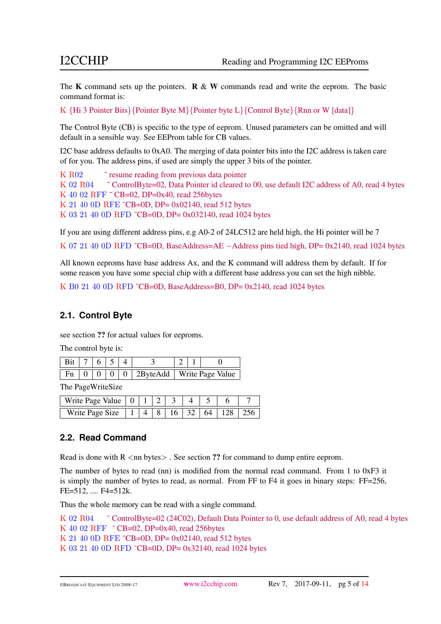The K command sets up the pointers.  $\mathbb{R} \& \mathbb{W}$  commands read and write the eeprom. The basic command format is:

K  $\{Hi \in B \}$  Pointer Bits $\{ Pointer B \}$  Pointer Byte M $\{ Pointer B \}$  Control Byte  $\{ Rnn \text{ or } W \}$ 

The Control Byte (CB) is specific to the type of eeprom. Unused parameters can be omitted and will default in a sensible way. See EEProm table for CB values.

I2C base address defaults to 0xA0. The merging of data pointer bits into the I2C address is taken care of for you. The address pins, if used are simply the upper 3 bits of the pointer.

```
K R02 <sup>\degree</sup> resume reading from previous data pointer
K 02 R04 \degree ControlByte=02, Data Pointer id cleared to 00, use default I2C address of A0, read 4 bytes
K 40.02 RFF ~ CB=02, DP=0x40, read 256bytes
K 21 40 0D RFE ~CB=0D, DP= 0x02140, read 512 bytes
K 03 21 40 0D RFD ~CB=0D, DP= 0x032140, read 1024 bytes
```
If you are using different address pins, e.g A0-2 of 24LC512 are held high, the Hi pointer will be 7

K 07 21 40 0D RFD <sup>~</sup>CB=0D, BaseAddress=AE −Address pins tied high, DP= 0x2140, read 1024 bytes

All known eeproms have base address Ax, and the K command will address them by default. If for some reason you have some special chip with a different base address you can set the high nibble.

K B0 21 40 0D RFD ˜CB=0D, BaseAddress=B0, DP= 0x2140, read 1024 bytes

### <span id="page-4-0"></span>**2.1. Control Byt[e](#page-0-0)**

see section ?? for actual values for eeproms.

The control byte is:

| Bit   7   6   5   4 |  |  |                                                                      |  |  |
|---------------------|--|--|----------------------------------------------------------------------|--|--|
|                     |  |  | $\boxed{\text{Fn} \mid 0}$   0   0   0   2ByteAdd   Write Page Value |  |  |

The PageWriteSize

| Write Page Value $\begin{pmatrix} 0 & 1 \end{pmatrix}$ |  |  |                   |            |  |
|--------------------------------------------------------|--|--|-------------------|------------|--|
| Write Page Size                                        |  |  | $16 \mid 32 \mid$ | $64$   128 |  |

### <span id="page-4-1"></span>**2.2. Read Comman[d](#page-0-0)**

Read is done with  $R <$ nn bytes $>$ . See section ?? for command to dump entire eeprom.

The number of bytes to read (nn) is modified from the normal read command. From 1 to  $0xF3$  it is simply the number of bytes to read, as normal. From FF to F4 it goes in binary steps: FF=256, FE=512, .... F4=512k.

Thus the whole memory can be read with a single command.

```
K 02 R04 ˜ ControlByte=02 (24C02), Default Data Pointer to 0, use default address of A0, read 4 bytes
K 40 02 RFF ~ CB=02, DP=0x40, read 256bytes
K 21 40 0D RFE ˜CB=0D, DP= 0x02140, read 512 bytes
K 03 21 40 0D RFD ˜CB=0D, DP= 0x32140, read 1024 bytes
```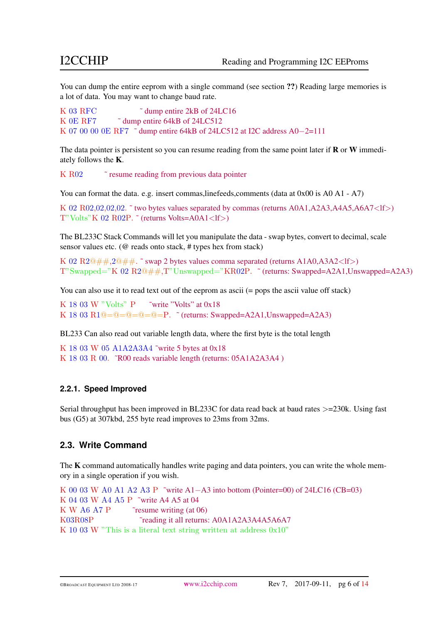You can dump the entire eeprom with a single command (see section ??) Reading large memories is a lot of data. You may want to change baud rate.

```
K 03 RFC \tilde{C} dump entire 2kB of 24LC16
K 0E RF7 \tilde{\ } dump entire 64kB of 24LC512
K 07 00 00 0E RF7 ˜ dump entire 64kB of 24LC512 at I2C address A0−2=111
```
The data pointer is persistent so you can resume reading from the same point later if **R** or **W** immediately follows the K.

K R02 <sup> $\degree$ </sup> resume reading from previous data pointer

You can format the data. e.g. insert commas, linefeeds, comments (data at 0x00 is A0 A1 - A7)

```
K 02 R02,02,02,02,\degree two bytes values separated by commas (returns A0A1,A2A3,A4A5,A6A7\ltlf>)
T''Volts"K 02 R02P. \tilde{ } (returns Volts=A0A1<lf>)
```
The BL233C Stack Commands will let you manipulate the data - swap bytes, convert to decimal, scale sensor values etc. (@ reads onto stack, # types hex from stack)

K 02 R2 $@$ ##,2 $@$ ##.  $\tilde{\ }$  swap 2 bytes values comma separated (returns A1A0,A3A2<lf>) T"Swapped="K 02 R2@##,T"Unswapped="KR02P. ˜ (returns: Swapped=A2A1,Unswapped=A2A3)

You can also use it to read text out of the eeprom as ascii (= pops the ascii value off stack)

```
K 18 03 W "Volts" P \tilde{V} write "Volts" at 0x18
K 18 03 R1@=@=@=@=P. \check{ } (returns: Swapped=A2A1, Unswapped=A2A3)
```
BL233 Can also read out variable length data, where the first byte is the total length

K 18 03 W 05 A1A2A3A4 ˜write 5 bytes at 0x18 K 18 03 R 00. ˜R00 reads variable length (returns: 05A1A2A3A4 )

### <span id="page-5-0"></span>**2.2.1. Speed Improve[d](#page-0-0)**

Serial throughput has been improved in BL233C for data read back at baud rates >=230k. Using fast bus (G5) at 307kbd, 255 byte read improves to 23ms from 32ms.

### <span id="page-5-1"></span>**2.3. Write Comman[d](#page-0-0)**

The K command automatically handles write paging and data pointers, you can write the whole memory in a single operation if you wish.

```
K 00 03 W A0 A1 A2 A3 P ~write A1-A3 into bottom (Pointer=00) of 24LC16 (CB=03)
K 04 03 W A4 A5 P ˜write A4 A5 at 04
K W A6 A7 P ˜resume writing (at 06)
K03R08P ˜reading it all returns: A0A1A2A3A4A5A6A7
K 10 03 W "This is a literal text string written at address 0x10"
```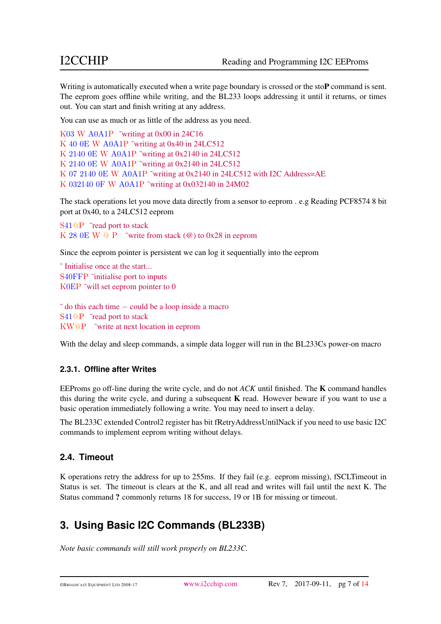Writing is automatically executed when a write page boundary is crossed or the stoP command is sent. The eeprom goes offline while writing, and the BL233 loops addressing it until it returns, or times out. You can start and finish writing at any address.

You can use as much or as little of the address as you need.

```
K03 W A0A1P ˜writing at 0x00 in 24C16
K 40 0E W A0A1P ˜writing at 0x40 in 24LC512
K 2140 0E W A0A1P ˜writing at 0x2140 in 24LC512
K 2140 0E W A0A1P ˜writing at 0x2140 in 24LC512
K 07 2140 0E W A0A1P ˜writing at 0x2140 in 24LC512 with I2C Address=AE
K 032140 0F W A0A1P ˜writing at 0x032140 in 24M02
```
The stack operations let you move data directly from a sensor to eeprom . e.g Reading PCF8574 8 bit port at 0x40, to a 24LC512 eeprom

```
S41<sup>@</sup>P ~read port to stack
K 28 0E W \odot P ~ write from stack (\odot) to 0x28 in eeprom
```
Since the eeprom pointer is persistent we can log it sequentially into the eeprom

˜ Initialise once at the start... S40FFP ˜initialise port to inputs K0EP ~will set eeprom pointer to 0

```
\tilde{\phantom{a}} do this each time - could be a loop inside a macro
S41<sup><sup>o</sup>P</sup> ~read port to stack
KW@P ˜write at next location in eeprom
```
With the delay and sleep commands, a simple data logger will run in the BL233Cs power-on macro

### <span id="page-6-0"></span>**2.3.1. Offline after Write[s](#page-0-0)**

EEProms go off-line during the write cycle, and do not *ACK* until finished. The K command handles this during the write cycle, and during a subsequent  $K$  read. However beware if you want to use a basic operation immediately following a write. You may need to insert a delay.

The BL233C extended Control2 register has bit fRetryAddressUntilNack if you need to use basic I2C commands to implement eeprom writing without delays.

### <span id="page-6-1"></span>**2.4. Timeou[t](#page-0-0)**

K operations retry the address for up to 255ms. If they fail (e.g. eeprom missing), fSCLTimeout in Status is set. The timeout is clears at the K, and all read and writes will fail until the next K. The Status command ? commonly returns 18 for success, 19 or 1B for missing or timeout.

## <span id="page-6-2"></span>**3. Using Basic I2C Commands (BL233B[\)](#page-0-0)**

*Note basic commands will still work properly on BL233C.*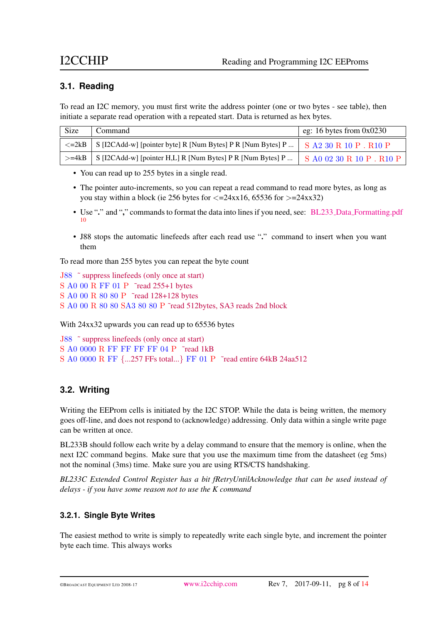### <span id="page-7-0"></span>**3.1. Readin[g](#page-0-0)**

To read an I2C memory, you must first write the address pointer (one or two bytes - see table), then initiate a separate read operation with a repeated start. Data is returned as hex bytes.

| Size                | Command                                                     | eg: 16 bytes from $0x0230$ |
|---------------------|-------------------------------------------------------------|----------------------------|
| $\leq$ =2kB $\perp$ | S [I2CAdd-w] [pointer byte] R [Num Bytes] P R [Num Bytes] P | $S$ A2 30 R 10 P $R$ R10 P |
| $>=$ 4kB            | S [I2CAdd-w] [pointer H,L] R [Num Bytes] P R [Num Bytes] P  | S A0 02 30 R 10 P . R10 P  |

• You can read up to 255 bytes in a single read.

- The pointer auto-increments, so you can repeat a read command to read more bytes, as long as you stay within a block (ie 256 bytes for  $\langle =24 \times 16, 65536 \rangle$  for  $\langle =24 \times 32 \rangle$ )
- Use "." and "," commands to format the data into lines if you need, see: BL233 Data [Formatting.pdf](https://www.i2cchip.com/pdfs/BL233_Data_Formatting.pdf) [10](#page-12-11)
- J88 stops the automatic linefeeds after each read use "." command to insert when you want them

To read more than 255 bytes you can repeat the byte count

```
J88 ˜ suppress linefeeds (only once at start)
S A0 00 R FF 01 P ˜read 255+1 bytes
S A0 00 R 80 80 P ˜read 128+128 bytes
S A0 00 R 80 80 SA3 80 80 P ˜read 512bytes, SA3 reads 2nd block
```
With 24xx32 upwards you can read up to 65536 bytes

```
J88 ˜ suppress linefeeds (only once at start)
S A0 0000 R FF FF FF FF 04 P ˜read 1kB
S A0 0000 R FF {...257 FFs total...} FF 01 P ˜read entire 64kB 24aa512
```
### <span id="page-7-1"></span>**3.2. Writin[g](#page-0-0)**

Writing the EEProm cells is initiated by the I2C STOP. While the data is being written, the memory goes off-line, and does not respond to (acknowledge) addressing. Only data within a single write page can be written at once.

BL233B should follow each write by a delay command to ensure that the memory is online, when the next I2C command begins. Make sure that you use the maximum time from the datasheet (eg 5ms) not the nominal (3ms) time. Make sure you are using RTS/CTS handshaking.

*BL233C Extended Control Register has a bit fRetryUntilAcknowledge that can be used instead of delays - if you have some reason not to use the K command*

### <span id="page-7-2"></span>**3.2.1. Single Byte Write[s](#page-0-0)**

The easiest method to write is simply to repeatedly write each single byte, and increment the pointer byte each time. This always works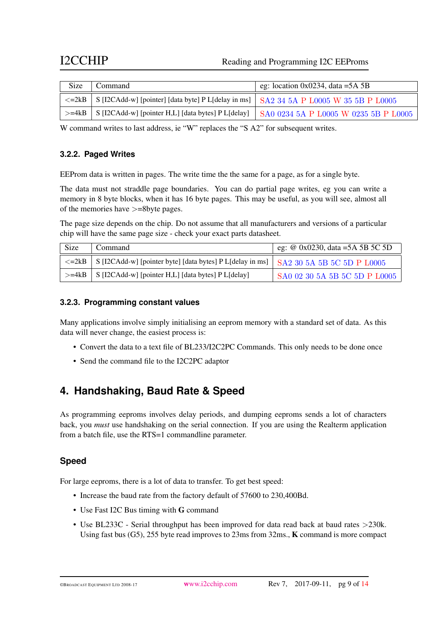### I2CCHIP Reading and Programming I2C EEProms

| Size | Command                                                                                              | eg: location 0x0234, data = $5A$ 5B |
|------|------------------------------------------------------------------------------------------------------|-------------------------------------|
|      | $\le$ =2kB   S [I2CAdd-w] [pointer] [data byte] P L[delay in ms]   SA2 34 5A P L0005 W 35 5B P L0005 |                                     |
|      | $>$ =4kB S [I2CAdd-w] [pointer H,L] [data bytes] P L[delay] SA0 0234 5A P L0005 W 0235 5B P L0005    |                                     |

W command writes to last address, ie "W" replaces the "S A2" for subsequent writes.

### <span id="page-8-0"></span>**3.2.2. Paged Write[s](#page-0-0)**

EEProm data is written in pages. The write time the the same for a page, as for a single byte.

The data must not straddle page boundaries. You can do partial page writes, eg you can write a memory in 8 byte blocks, when it has 16 byte pages. This may be useful, as you will see, almost all of the memories have >=8byte pages.

The page size depends on the chip. Do not assume that all manufacturers and versions of a particular chip will have the same page size - check your exact parts datasheet.

| Size | Command                                                                                                | eg: @ 0x0230, data =5A 5B 5C 5D |
|------|--------------------------------------------------------------------------------------------------------|---------------------------------|
|      | $\le$ =2kB S [I2CAdd-w] [pointer byte] [data bytes] P L[delay in ms] $\mid$ SA2 30 5A 5B 5C 5D P L0005 |                                 |
|      | $>=4kB$   S [I2CAdd-w] [pointer H,L] [data bytes] P L[delay]                                           | SA0 02 30 5A 5B 5C 5D P L0005   |

### <span id="page-8-1"></span>**3.2.3. Programming constant value[s](#page-0-0)**

Many applications involve simply initialising an eeprom memory with a standard set of data. As this data will never change, the easiest process is:

- Convert the data to a text file of BL233/I2C2PC Commands. This only needs to be done once
- Send the command file to the I2C2PC adaptor

## <span id="page-8-2"></span>**4. Handshaking, Baud Rate & Spee[d](#page-0-0)**

As programming eeproms involves delay periods, and dumping eeproms sends a lot of characters back, you *must* use handshaking on the serial connection. If you are using the Realterm application from a batch file, use the RTS=1 commandline parameter.

### **Spee[d](#page-0-0)**

For large eeproms, there is a lot of data to transfer. To get best speed:

- Increase the baud rate from the factory default of 57600 to 230,400Bd.
- Use Fast I2C Bus timing with G command
- Use BL233C Serial throughput has been improved for data read back at baud rates >230k. Using fast bus (G5), 255 byte read improves to 23ms from 32ms., K command is more compact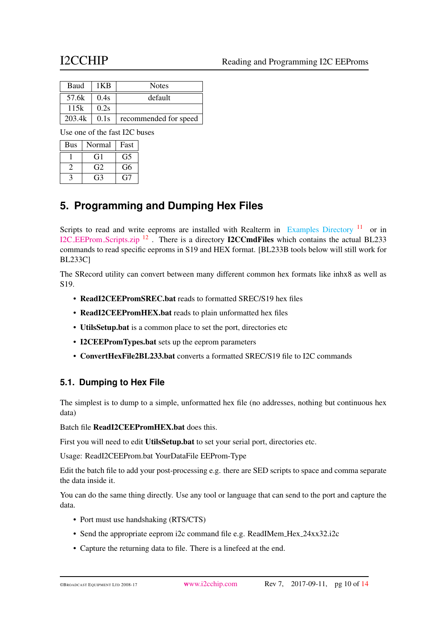| Baud   | 1KB  | <b>Notes</b>          |
|--------|------|-----------------------|
| 57.6k  | 0.4s | default               |
| 115k   | 0.2s |                       |
| 203.4k | 0.1s | recommended for speed |

Use one of the fast I2C buses

| <b>Bus</b> | Normal | Fast         |
|------------|--------|--------------|
|            | († 1   | G5           |
|            | G2     | G6           |
|            |        | $\mathbf{r}$ |

## <span id="page-9-0"></span>**5. Programming and Dumping Hex File[s](#page-0-0)**

Scripts to read and write eeproms are installed with Realterm in [Examples Directory](#page-0-1)  $11$  or in I2C EEProm [Scripts.zip](https://www.i2cchip.com/pdfs/I2C_EEProm_Scripts.zip) [12](#page-13-1) . There is a directory I2CCmdFiles which contains the actual BL233 commands to read specific eeproms in S19 and HEX format. [BL233B tools below will still work for BL233C]

The SRecord utility can convert between many different common hex formats like inhx8 as well as S19.

- ReadI2CEEPromSREC.bat reads to formatted SREC/S19 hex files
- ReadI2CEEPromHEX.bat reads to plain unformatted hex files
- UtilsSetup.bat is a common place to set the port, directories etc
- I2CEEPromTypes.bat sets up the eeprom parameters
- ConvertHexFile2BL233.bat converts a formatted SREC/S19 file to I2C commands

### <span id="page-9-1"></span>**5.1. Dumping to Hex Fil[e](#page-0-0)**

The simplest is to dump to a simple, unformatted hex file (no addresses, nothing but continuous hex data)

Batch file ReadI2CEEPromHEX.bat does this.

First you will need to edit UtilsSetup.bat to set your serial port, directories etc.

Usage: ReadI2CEEProm.bat YourDataFile EEProm-Type

Edit the batch file to add your post-processing e.g. there are SED scripts to space and comma separate the data inside it.

You can do the same thing directly. Use any tool or language that can send to the port and capture the data.

- Port must use handshaking (RTS/CTS)
- Send the appropriate eeprom i2c command file e.g. ReadIMem\_Hex\_24xx32.i2c
- Capture the returning data to file. There is a linefeed at the end.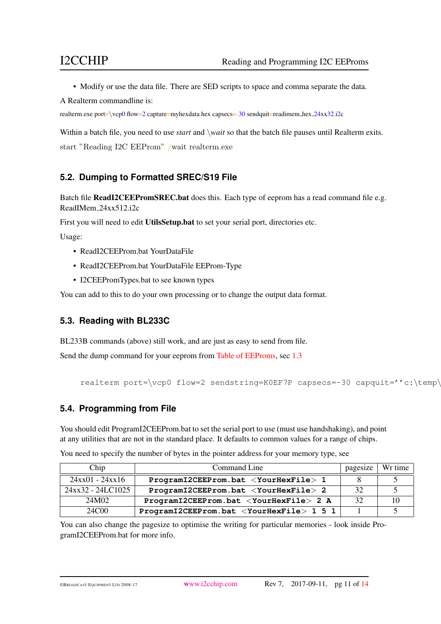• Modify or use the data file. There are SED scripts to space and comma separate the data.

A Realterm commandline is:

realterm.exe port=\vcp0 flow=2 capture=myhexdata.hex capsecs=-30 sendquit=readimem\_hex\_24xx32.i2c

Within a batch file, you need to use *start* and \*wait* so that the batch file pauses until Realterm exits. start "Reading I2C EEProm" /wait realterm.exe

### <span id="page-10-0"></span>**5.2. Dumping to Formatted SREC/S19 Fil[e](#page-0-0)**

Batch file ReadI2CEEPromSREC.bat does this. Each type of eeprom has a read command file e.g. ReadIMem 24xx512.i2c

First you will need to edit UtilsSetup.bat to set your serial port, directories etc.

Usage:

- ReadI2CEEProm.bat YourDataFile
- ReadI2CEEProm.bat YourDataFile EEProm-Type
- I2CEEPromTypes.bat to see known types

You can add to this to do your own processing or to change the output data format.

### <span id="page-10-1"></span>**5.3. Reading with BL233[C](#page-0-0)**

BL233B commands (above) still work, and are just as easy to send from file.

Send the dump command for your eeprom from [Table of EEProms,](#page-2-2) sec [1.3](#page-2-2)

```
realterm port=\vcp0 flow=2 sendstring=K0EF7P capsecs=-30 capquit=''c:\temp\
```
### <span id="page-10-2"></span>**5.4. Programming from Fil[e](#page-0-0)**

You should edit ProgramI2CEEProm.bat to set the serial port to use (must use handshaking), and point at any utilities that are not in the standard place. It defaults to common values for a range of chips.

| Chip              | Command Line                                         | pagesize | Wr time |
|-------------------|------------------------------------------------------|----------|---------|
| $24xx01 - 24xx16$ | ProgramI2CEEProm.bat <yourhexfile> 1</yourhexfile>   |          |         |
| 24xx32 - 24LC1025 | ProgramI2CEEProm.bat <yourhexfile> 2</yourhexfile>   | 32       |         |
| 24M02             | ProgramI2CEEProm.bat <yourhexfile> 2 A</yourhexfile> | 32       | 10      |
| 24C00             | $ProgramI2CEEFrom.bat <$ YourHexFile> 1 5 1          |          |         |

You need to specify the number of bytes in the pointer address for your memory type, see

You can also change the pagesize to optimise the writing for particular memories - look inside ProgramI2CEEProm.bat for more info.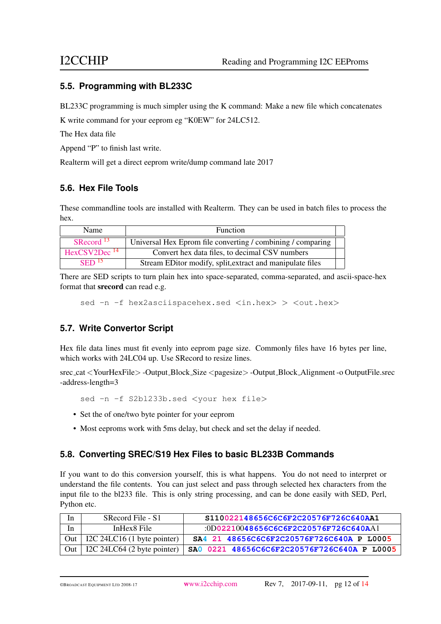### <span id="page-11-0"></span>**5.5. Programming with BL233[C](#page-0-0)**

BL233C programming is much simpler using the K command: Make a new file which concatenates

K write command for your eeprom eg "K0EW" for 24LC512.

The Hex data file

Append "P" to finish last write.

Realterm will get a direct eeprom write/dump command late 2017

### <span id="page-11-1"></span>**5.6. Hex File Tool[s](#page-0-0)**

These commandline tools are installed with Realterm. They can be used in batch files to process the hex.

| Name                     | <b>Function</b>                                             |  |
|--------------------------|-------------------------------------------------------------|--|
| SRecord <sup>13</sup>    | Universal Hex Eprom file converting / combining / comparing |  |
| HexCSV2Dec <sup>14</sup> | Convert hex data files, to decimal CSV numbers              |  |
| $\rm SED$ <sup>15</sup>  | Stream EDitor modify, split, extract and manipulate files   |  |

There are SED scripts to turn plain hex into space-separated, comma-separated, and ascii-space-hex format that srecord can read e.g.

sed -n -f hex2asciispacehex.sed <in.hex> > <out.hex>

### <span id="page-11-2"></span>**5.7. Write Convertor Scrip[t](#page-0-0)**

Hex file data lines must fit evenly into eeprom page size. Commonly files have 16 bytes per line, which works with 24LC04 up. Use SRecord to resize lines.

srec cat <YourHexFile> -Output Block Size <pagesize> -Output Block Alignment -o OutputFile.srec -address-length=3

sed -n -f S2bl233b.sed <your hex file>

- Set the of one/two byte pointer for your eeprom
- Most eeproms work with 5ms delay, but check and set the delay if needed.

### <span id="page-11-3"></span>**5.8. Converting SREC/S19 Hex Files to basic BL233B Command[s](#page-0-0)**

If you want to do this conversion yourself, this is what happens. You do not need to interpret or understand the file contents. You can just select and pass through selected hex characters from the input file to the bl233 file. This is only string processing, and can be done easily with SED, Perl, Python etc.

| 1n | SRecord File - S1                 | S110022148656C6C6F2C20576F726C640AA1        |
|----|-----------------------------------|---------------------------------------------|
| In | InHex8 File                       | $:0D02210048656C6C6F2C20576F726C640A$ Al    |
|    | Out   I2C 24LC16 (1 byte pointer) | SA4 21 48656C6C6F2C20576F726C640A P L0005   |
|    | Out   I2C 24LC64 (2 byte pointer) | SA0 0221 48656C6C6F2C20576F726C640A P L0005 |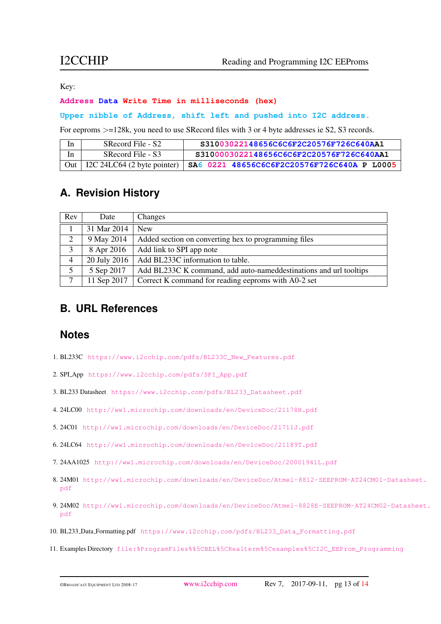Key:

### **Address Data Write Time in milliseconds (hex)**

### **Upper nibble of Address, shift left and pushed into I2C address.**

For eeproms >=128k, you need to use SRecord files with 3 or 4 byte addresses ie S2, S3 records.

| In. | SRecord File - S2 | S31003022148656C6C6F2C20576F726C640AA1                                          |
|-----|-------------------|---------------------------------------------------------------------------------|
| In  | SRecord File - S3 | S3100003022148656C6C6F2C20576F726C640AA1                                        |
|     |                   | Out   I2C 24LC64 (2 byte pointer)   SA6 0221 48656C6C6F2C20576F726C640A P L0005 |

## <span id="page-12-1"></span>**A. Revision Histor[y](#page-0-0)**

| Rev            | Date         | Changes                                                           |
|----------------|--------------|-------------------------------------------------------------------|
|                | 31 Mar 2014  | <b>New</b>                                                        |
| 2              | 9 May 2014   | Added section on converting hex to programming files              |
| 3              | 8 Apr 2016   | Add link to SPI app note                                          |
| $\overline{4}$ | 20 July 2016 | Add BL233C information to table.                                  |
| 5              | 5 Sep 2017   | Add BL233C K command, add auto-nameddestinations and url tooltips |
| 7              | 11 Sep 2017  | Correct K command for reading eeproms with A0-2 set               |

## <span id="page-12-2"></span>**B. URL Reference[s](#page-0-0)**

### **Note[s](#page-0-0)**

- <span id="page-12-0"></span>1. BL233C [https://www.i2cchip.com/pdfs/BL233C\\_New\\_Features.pdf](https://www.i2cchip.com/pdfs/BL233C_New_Features.pdf)
- <span id="page-12-3"></span>2. SPI App [https://www.i2cchip.com/pdfs/SPI\\_App.pdf](https://www.i2cchip.com/pdfs/SPI_App.pdf)
- <span id="page-12-4"></span>3. BL233 Datasheet [https://www.i2cchip.com/pdfs/BL233\\_Datasheet.pdf](https://www.i2cchip.com/pdfs/BL233_Datasheet.pdf)
- <span id="page-12-5"></span>4. 24LC00 <http://ww1.microchip.com/downloads/en/DeviceDoc/21178H.pdf>
- <span id="page-12-6"></span>5. 24C01 <http://ww1.microchip.com/downloads/en/DeviceDoc/21711J.pdf>
- <span id="page-12-7"></span>6. 24LC64 <http://ww1.microchip.com/downloads/en/DeviceDoc/21189T.pdf>
- <span id="page-12-8"></span>7. 24AA1025 <http://ww1.microchip.com/downloads/en/DeviceDoc/20001941L.pdf>
- <span id="page-12-9"></span>8. 24M01 [http://ww1.microchip.com/downloads/en/DeviceDoc/Atmel-8812-SEEPROM-AT24CM01-D](http://ww1.microchip.com/downloads/en/DeviceDoc/Atmel-8812-SEEPROM-AT24CM01-Datasheet.pdf)atasheet. [pdf](http://ww1.microchip.com/downloads/en/DeviceDoc/Atmel-8812-SEEPROM-AT24CM01-Datasheet.pdf)
- <span id="page-12-10"></span>9. 24M02 [http://ww1.microchip.com/downloads/en/DeviceDoc/Atmel-8828E-SEEPROM-AT24CM02-](http://ww1.microchip.com/downloads/en/DeviceDoc/Atmel-8828E-SEEPROM-AT24CM02-Datasheet.pdf)Datasheet. [pdf](http://ww1.microchip.com/downloads/en/DeviceDoc/Atmel-8828E-SEEPROM-AT24CM02-Datasheet.pdf)
- <span id="page-12-11"></span>10. BL233 Data Formatting.pdf [https://www.i2cchip.com/pdfs/BL233\\_Data\\_Formatting.pdf](https://www.i2cchip.com/pdfs/BL233_Data_Formatting.pdf)
- <span id="page-12-12"></span>11. Examples Directory [file:%ProgramFiles%%5CBEL%5CRealterm%5Cexamples%5CI2C\\_EEProm\\_Programming](file:%ProgramFiles%%5CBEL%5CRealterm%5Cexamples%5CI2C_EEProm_Programming)